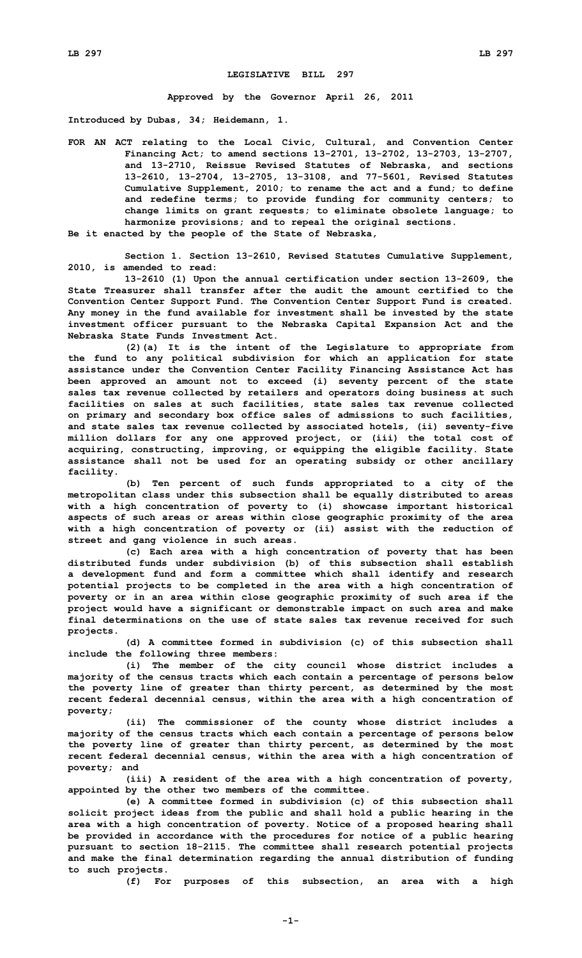## **LEGISLATIVE BILL 297**

**Approved by the Governor April 26, 2011**

**Introduced by Dubas, 34; Heidemann, 1.**

**FOR AN ACT relating to the Local Civic, Cultural, and Convention Center Financing Act; to amend sections 13-2701, 13-2702, 13-2703, 13-2707, and 13-2710, Reissue Revised Statutes of Nebraska, and sections 13-2610, 13-2704, 13-2705, 13-3108, and 77-5601, Revised Statutes Cumulative Supplement, 2010; to rename the act and <sup>a</sup> fund; to define and redefine terms; to provide funding for community centers; to change limits on grant requests; to eliminate obsolete language; to harmonize provisions; and to repeal the original sections.**

**Be it enacted by the people of the State of Nebraska,**

**Section 1. Section 13-2610, Revised Statutes Cumulative Supplement, 2010, is amended to read:**

**13-2610 (1) Upon the annual certification under section 13-2609, the State Treasurer shall transfer after the audit the amount certified to the Convention Center Support Fund. The Convention Center Support Fund is created. Any money in the fund available for investment shall be invested by the state investment officer pursuant to the Nebraska Capital Expansion Act and the Nebraska State Funds Investment Act.**

**(2)(a) It is the intent of the Legislature to appropriate from the fund to any political subdivision for which an application for state assistance under the Convention Center Facility Financing Assistance Act has been approved an amount not to exceed (i) seventy percent of the state sales tax revenue collected by retailers and operators doing business at such facilities on sales at such facilities, state sales tax revenue collected on primary and secondary box office sales of admissions to such facilities, and state sales tax revenue collected by associated hotels, (ii) seventy-five million dollars for any one approved project, or (iii) the total cost of acquiring, constructing, improving, or equipping the eligible facility. State assistance shall not be used for an operating subsidy or other ancillary facility.**

**(b) Ten percent of such funds appropriated to <sup>a</sup> city of the metropolitan class under this subsection shall be equally distributed to areas with <sup>a</sup> high concentration of poverty to (i) showcase important historical aspects of such areas or areas within close geographic proximity of the area with <sup>a</sup> high concentration of poverty or (ii) assist with the reduction of street and gang violence in such areas.**

**(c) Each area with <sup>a</sup> high concentration of poverty that has been distributed funds under subdivision (b) of this subsection shall establish <sup>a</sup> development fund and form <sup>a</sup> committee which shall identify and research potential projects to be completed in the area with <sup>a</sup> high concentration of poverty or in an area within close geographic proximity of such area if the project would have <sup>a</sup> significant or demonstrable impact on such area and make final determinations on the use of state sales tax revenue received for such projects.**

**(d) A committee formed in subdivision (c) of this subsection shall include the following three members:**

**(i) The member of the city council whose district includes <sup>a</sup> majority of the census tracts which each contain <sup>a</sup> percentage of persons below the poverty line of greater than thirty percent, as determined by the most recent federal decennial census, within the area with <sup>a</sup> high concentration of poverty;**

**(ii) The commissioner of the county whose district includes <sup>a</sup> majority of the census tracts which each contain <sup>a</sup> percentage of persons below the poverty line of greater than thirty percent, as determined by the most recent federal decennial census, within the area with <sup>a</sup> high concentration of poverty; and**

**(iii) <sup>A</sup> resident of the area with <sup>a</sup> high concentration of poverty, appointed by the other two members of the committee.**

**(e) A committee formed in subdivision (c) of this subsection shall solicit project ideas from the public and shall hold <sup>a</sup> public hearing in the area with <sup>a</sup> high concentration of poverty. Notice of <sup>a</sup> proposed hearing shall be provided in accordance with the procedures for notice of <sup>a</sup> public hearing pursuant to section 18-2115. The committee shall research potential projects and make the final determination regarding the annual distribution of funding to such projects.**

**(f) For purposes of this subsection, an area with <sup>a</sup> high**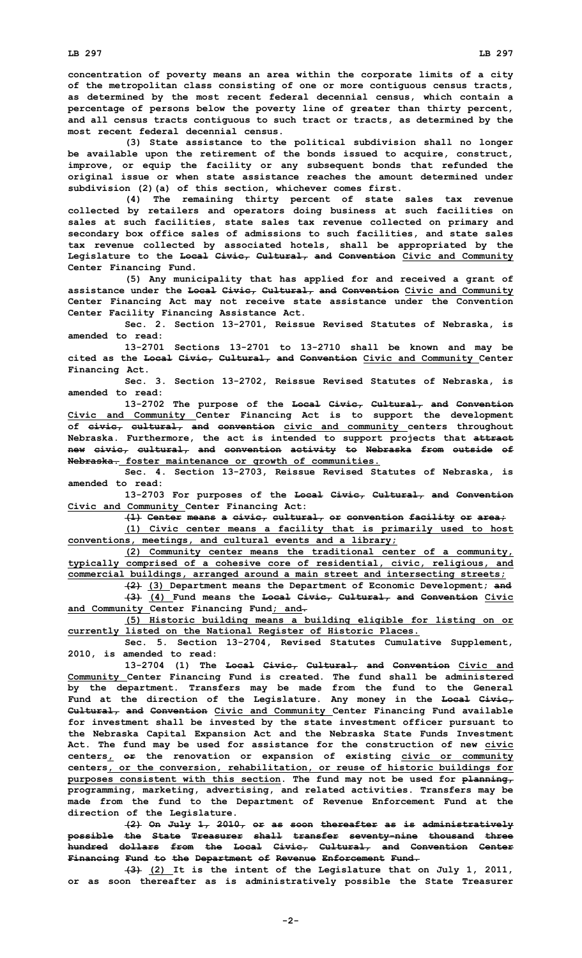**concentration of poverty means an area within the corporate limits of <sup>a</sup> city of the metropolitan class consisting of one or more contiguous census tracts, as determined by the most recent federal decennial census, which contain <sup>a</sup> percentage of persons below the poverty line of greater than thirty percent, and all census tracts contiguous to such tract or tracts, as determined by the most recent federal decennial census.**

**(3) State assistance to the political subdivision shall no longer be available upon the retirement of the bonds issued to acquire, construct, improve, or equip the facility or any subsequent bonds that refunded the original issue or when state assistance reaches the amount determined under subdivision (2)(a) of this section, whichever comes first.**

**(4) The remaining thirty percent of state sales tax revenue collected by retailers and operators doing business at such facilities on sales at such facilities, state sales tax revenue collected on primary and secondary box office sales of admissions to such facilities, and state sales tax revenue collected by associated hotels, shall be appropriated by the Legislature to the Local Civic, Cultural, and Convention Civic and Community Center Financing Fund.**

**(5) Any municipality that has applied for and received <sup>a</sup> grant of assistance under the Local Civic, Cultural, and Convention Civic and Community Center Financing Act may not receive state assistance under the Convention Center Facility Financing Assistance Act.**

**Sec. 2. Section 13-2701, Reissue Revised Statutes of Nebraska, is amended to read:**

**13-2701 Sections 13-2701 to 13-2710 shall be known and may be cited as the Local Civic, Cultural, and Convention Civic and Community Center Financing Act.**

**Sec. 3. Section 13-2702, Reissue Revised Statutes of Nebraska, is amended to read:**

**13-2702 The purpose of the Local Civic, Cultural, and Convention Civic and Community Center Financing Act is to support the development of civic, cultural, and convention civic and community centers throughout Nebraska. Furthermore, the act is intended to support projects that attract new civic, cultural, and convention activity to Nebraska from outside of Nebraska. foster maintenance or growth of communities.**

**Sec. 4. Section 13-2703, Reissue Revised Statutes of Nebraska, is amended to read:**

**13-2703 For purposes of the Local Civic, Cultural, and Convention Civic and Community Center Financing Act:**

**(1) Center means <sup>a</sup> civic, cultural, or convention facility or area; (1) Civic center means <sup>a</sup> facility that is primarily used to host conventions, meetings, and cultural events and <sup>a</sup> library;**

**(2) Community center means the traditional center of <sup>a</sup> community, typically comprised of <sup>a</sup> cohesive core of residential, civic, religious, and commercial buildings, arranged around <sup>a</sup> main street and intersecting streets;**

**(2) (3) Department means the Department of Economic Development; and (3) (4) Fund means the Local Civic, Cultural, and Convention Civic**

**and Community Center Financing Fund; and.**

**(5) Historic building means <sup>a</sup> building eligible for listing on or currently listed on the National Register of Historic Places.**

**Sec. 5. Section 13-2704, Revised Statutes Cumulative Supplement, 2010, is amended to read:**

**13-2704 (1) The Local Civic, Cultural, and Convention Civic and Community Center Financing Fund is created. The fund shall be administered by the department. Transfers may be made from the fund to the General Fund at the direction of the Legislature. Any money in the Local Civic, Cultural, and Convention Civic and Community Center Financing Fund available for investment shall be invested by the state investment officer pursuant to the Nebraska Capital Expansion Act and the Nebraska State Funds Investment Act. The fund may be used for assistance for the construction of new civic centers, or the renovation or expansion of existing civic or community centers, or the conversion, rehabilitation, or reuse of historic buildings for purposes consistent with this section. The fund may not be used for planning, programming, marketing, advertising, and related activities. Transfers may be made from the fund to the Department of Revenue Enforcement Fund at the direction of the Legislature.**

**(2) On July 1, 2010, or as soon thereafter as is administratively possible the State Treasurer shall transfer seventy-nine thousand three hundred dollars from the Local Civic, Cultural, and Convention Center Financing Fund to the Department of Revenue Enforcement Fund.**

**(3) (2) It is the intent of the Legislature that on July 1, 2011, or as soon thereafter as is administratively possible the State Treasurer**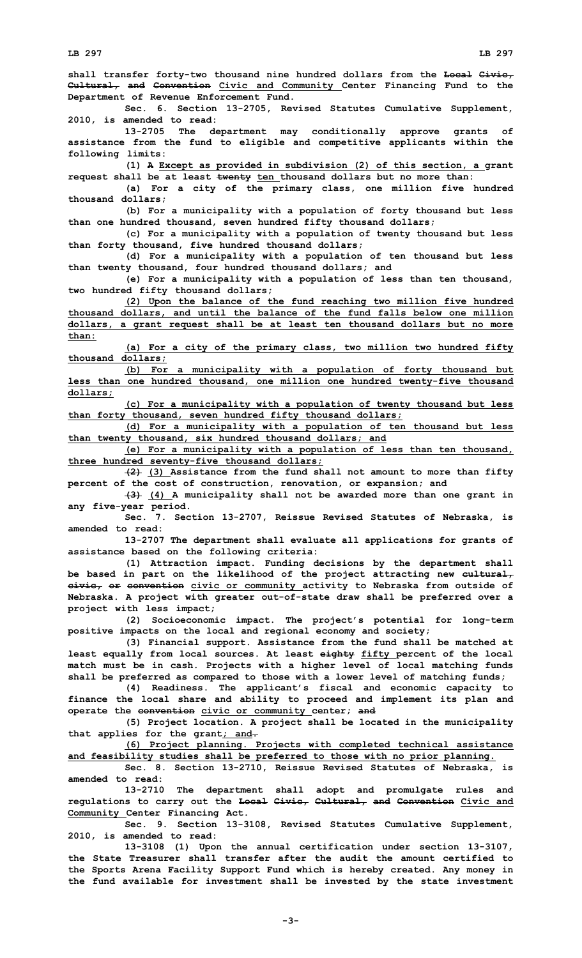**shall transfer forty-two thousand nine hundred dollars from the Local Civic, Cultural, and Convention Civic and Community Center Financing Fund to the Department of Revenue Enforcement Fund.**

**Sec. 6. Section 13-2705, Revised Statutes Cumulative Supplement, 2010, is amended to read:**

**13-2705 The department may conditionally approve grants of assistance from the fund to eligible and competitive applicants within the following limits:**

**(1) <sup>A</sup> Except as provided in subdivision (2) of this section, <sup>a</sup> grant request shall be at least twenty ten thousand dollars but no more than:**

**(a) For <sup>a</sup> city of the primary class, one million five hundred thousand dollars;**

**(b) For <sup>a</sup> municipality with <sup>a</sup> population of forty thousand but less than one hundred thousand, seven hundred fifty thousand dollars;**

**(c) For <sup>a</sup> municipality with <sup>a</sup> population of twenty thousand but less than forty thousand, five hundred thousand dollars;**

**(d) For <sup>a</sup> municipality with <sup>a</sup> population of ten thousand but less than twenty thousand, four hundred thousand dollars; and**

**(e) For <sup>a</sup> municipality with <sup>a</sup> population of less than ten thousand, two hundred fifty thousand dollars;**

**(2) Upon the balance of the fund reaching two million five hundred thousand dollars, and until the balance of the fund falls below one million dollars, <sup>a</sup> grant request shall be at least ten thousand dollars but no more than:**

**(a) For <sup>a</sup> city of the primary class, two million two hundred fifty thousand dollars;**

**(b) For <sup>a</sup> municipality with <sup>a</sup> population of forty thousand but less than one hundred thousand, one million one hundred twenty-five thousand dollars;**

**(c) For <sup>a</sup> municipality with <sup>a</sup> population of twenty thousand but less than forty thousand, seven hundred fifty thousand dollars;**

**(d) For <sup>a</sup> municipality with <sup>a</sup> population of ten thousand but less than twenty thousand, six hundred thousand dollars; and**

**(e) For <sup>a</sup> municipality with <sup>a</sup> population of less than ten thousand, three hundred seventy-five thousand dollars;**

**(2) (3) Assistance from the fund shall not amount to more than fifty percent of the cost of construction, renovation, or expansion; and**

**(3) (4) <sup>A</sup> municipality shall not be awarded more than one grant in any five-year period.**

**Sec. 7. Section 13-2707, Reissue Revised Statutes of Nebraska, is amended to read:**

**13-2707 The department shall evaluate all applications for grants of assistance based on the following criteria:**

**(1) Attraction impact. Funding decisions by the department shall be based in part on the likelihood of the project attracting new cultural, civic, or convention civic or community activity to Nebraska from outside of Nebraska. A project with greater out-of-state draw shall be preferred over <sup>a</sup> project with less impact;**

**(2) Socioeconomic impact. The project's potential for long-term positive impacts on the local and regional economy and society;**

**(3) Financial support. Assistance from the fund shall be matched at least equally from local sources. At least eighty fifty percent of the local match must be in cash. Projects with <sup>a</sup> higher level of local matching funds shall be preferred as compared to those with <sup>a</sup> lower level of matching funds;**

**(4) Readiness. The applicant's fiscal and economic capacity to finance the local share and ability to proceed and implement its plan and operate the convention civic or community center; and**

**(5) Project location. <sup>A</sup> project shall be located in the municipality that applies for the grant; and.**

**(6) Project planning. Projects with completed technical assistance and feasibility studies shall be preferred to those with no prior planning.**

**Sec. 8. Section 13-2710, Reissue Revised Statutes of Nebraska, is amended to read:**

**13-2710 The department shall adopt and promulgate rules and regulations to carry out the Local Civic, Cultural, and Convention Civic and Community Center Financing Act.**

**Sec. 9. Section 13-3108, Revised Statutes Cumulative Supplement, 2010, is amended to read:**

**13-3108 (1) Upon the annual certification under section 13-3107, the State Treasurer shall transfer after the audit the amount certified to the Sports Arena Facility Support Fund which is hereby created. Any money in the fund available for investment shall be invested by the state investment**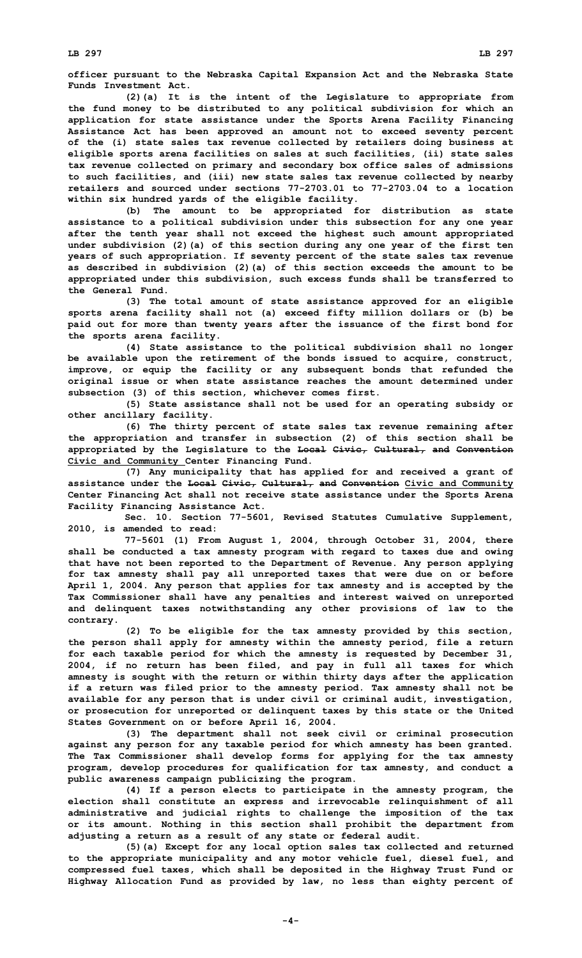**LB 297 LB 297**

**officer pursuant to the Nebraska Capital Expansion Act and the Nebraska State Funds Investment Act.**

**(2)(a) It is the intent of the Legislature to appropriate from the fund money to be distributed to any political subdivision for which an application for state assistance under the Sports Arena Facility Financing Assistance Act has been approved an amount not to exceed seventy percent of the (i) state sales tax revenue collected by retailers doing business at eligible sports arena facilities on sales at such facilities, (ii) state sales tax revenue collected on primary and secondary box office sales of admissions to such facilities, and (iii) new state sales tax revenue collected by nearby retailers and sourced under sections 77-2703.01 to 77-2703.04 to a location within six hundred yards of the eligible facility.**

**(b) The amount to be appropriated for distribution as state assistance to <sup>a</sup> political subdivision under this subsection for any one year after the tenth year shall not exceed the highest such amount appropriated under subdivision (2)(a) of this section during any one year of the first ten years of such appropriation. If seventy percent of the state sales tax revenue as described in subdivision (2)(a) of this section exceeds the amount to be appropriated under this subdivision, such excess funds shall be transferred to the General Fund.**

**(3) The total amount of state assistance approved for an eligible sports arena facility shall not (a) exceed fifty million dollars or (b) be paid out for more than twenty years after the issuance of the first bond for the sports arena facility.**

**(4) State assistance to the political subdivision shall no longer be available upon the retirement of the bonds issued to acquire, construct, improve, or equip the facility or any subsequent bonds that refunded the original issue or when state assistance reaches the amount determined under subsection (3) of this section, whichever comes first.**

**(5) State assistance shall not be used for an operating subsidy or other ancillary facility.**

**(6) The thirty percent of state sales tax revenue remaining after the appropriation and transfer in subsection (2) of this section shall be appropriated by the Legislature to the Local Civic, Cultural, and Convention Civic and Community Center Financing Fund.**

**(7) Any municipality that has applied for and received <sup>a</sup> grant of assistance under the Local Civic, Cultural, and Convention Civic and Community Center Financing Act shall not receive state assistance under the Sports Arena Facility Financing Assistance Act.**

**Sec. 10. Section 77-5601, Revised Statutes Cumulative Supplement, 2010, is amended to read:**

**77-5601 (1) From August 1, 2004, through October 31, 2004, there shall be conducted <sup>a</sup> tax amnesty program with regard to taxes due and owing that have not been reported to the Department of Revenue. Any person applying for tax amnesty shall pay all unreported taxes that were due on or before April 1, 2004. Any person that applies for tax amnesty and is accepted by the Tax Commissioner shall have any penalties and interest waived on unreported and delinquent taxes notwithstanding any other provisions of law to the contrary.**

**(2) To be eligible for the tax amnesty provided by this section, the person shall apply for amnesty within the amnesty period, file <sup>a</sup> return for each taxable period for which the amnesty is requested by December 31, 2004, if no return has been filed, and pay in full all taxes for which amnesty is sought with the return or within thirty days after the application if <sup>a</sup> return was filed prior to the amnesty period. Tax amnesty shall not be available for any person that is under civil or criminal audit, investigation, or prosecution for unreported or delinquent taxes by this state or the United States Government on or before April 16, 2004.**

**(3) The department shall not seek civil or criminal prosecution against any person for any taxable period for which amnesty has been granted. The Tax Commissioner shall develop forms for applying for the tax amnesty program, develop procedures for qualification for tax amnesty, and conduct <sup>a</sup> public awareness campaign publicizing the program.**

**(4) If <sup>a</sup> person elects to participate in the amnesty program, the election shall constitute an express and irrevocable relinquishment of all administrative and judicial rights to challenge the imposition of the tax or its amount. Nothing in this section shall prohibit the department from adjusting <sup>a</sup> return as <sup>a</sup> result of any state or federal audit.**

**(5)(a) Except for any local option sales tax collected and returned to the appropriate municipality and any motor vehicle fuel, diesel fuel, and compressed fuel taxes, which shall be deposited in the Highway Trust Fund or Highway Allocation Fund as provided by law, no less than eighty percent of**